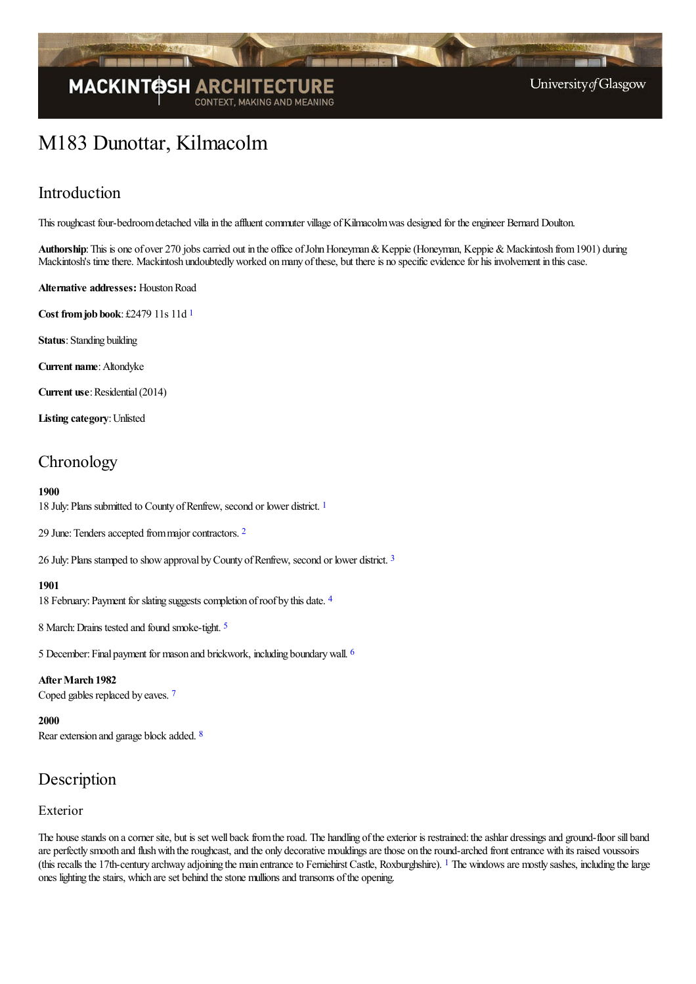

# M183 Dunottar, Kilmacolm

### Introduction

This roughcast four-bedroom detached villa in the affluent commuter village of Kilmacolm was designed for the engineer Bernard Doulton.

Authorship: This is one of over 270 jobs carried out in the office of John Honeyman & Keppie (Honeyman, Keppie & Mackintosh from 1901) during Mackintosh's time there. Mackintosh undoubtedly worked on many of these, but there is no specific evidence for his involvement in this case.

**Alternative addresses:** HoustonRoad

<span id="page-0-0"></span>**Cost fromjob book**: £2479 11s 11d [1](#page-4-0)

**Status**: Standing building

**Current name**: Altondyke

**Current use:** Residential (2014)

**Listing category**:Unlisted

### **Chronology**

#### **1900**

<span id="page-0-1"></span>[1](#page-4-1)8 July: Plans submitted to County of Renfrew, second or lower district. <sup>1</sup>

<span id="page-0-2"></span>[2](#page-4-2)9 June: Tenders accepted from major contractors. <sup>2</sup>

<span id="page-0-3"></span>26 July: Plans stamped to show approval by County of Renfrew, second or lower district.<sup>[3](#page-4-3)</sup>

#### <span id="page-0-4"></span>**1901**

18 February: Payment for slating suggests completion of roof by this date. [4](#page-4-4)

<span id="page-0-5"></span>8 March:Drains tested and found smoke-tight. [5](#page-4-5)

<span id="page-0-6"></span>5 December:Final payment for mason and brickwork, including boundarywall. [6](#page-4-6)

<span id="page-0-7"></span>After March 1982 Coped gables replaced by eaves. [7](#page-4-7)

<span id="page-0-8"></span>**2000** Rear extension and garage block added. [8](#page-4-8)

### Description

### Exterior

<span id="page-0-9"></span>The house stands on a corner site, but is set well back from the road. The handling of the exterior is restrained: the ashlar dressings and ground-floor sill band are perfectly smooth and flush with the roughcast, and the only decorative mouldings are those on the round-arched front entrance with its raised voussoirs (this recalls the [1](#page-4-9)7th-century archway adjoining the main entrance to Ferniehirst Castle, Roxburghshire). <sup>1</sup> The windows are mostly sashes, including the large ones lighting the stairs, which are set behind the stone mullions and transoms of the opening.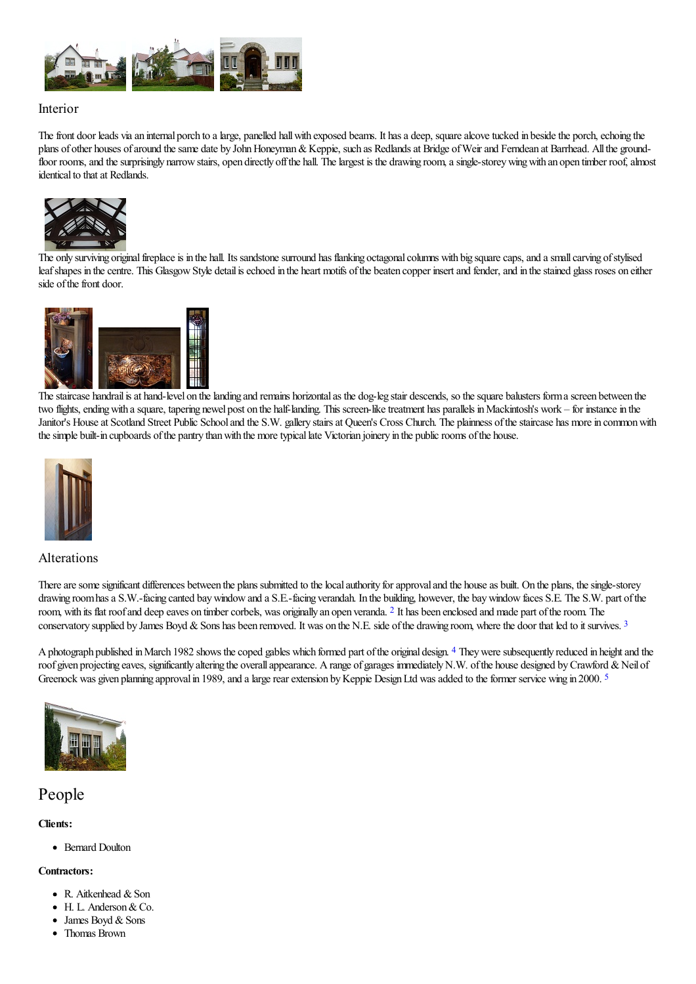

### Interior

The front door leads via an internal porch to a large, panelled hall with exposed beams. It has a deep, square alcove tucked in beside the porch, echoing the plans of other houses of around the same date by John Honeyman & Keppie, such as Redlands at Bridge of Weir and Ferndean at Barrhead. All the groundfloor rooms, and the surprisingly narrow stairs, open directly off the hall. The largest is the drawing room, a single-storey wing with an open timber roof, almost identical to that at Redlands.



The only [surviving](http://www.mackintosh-architecture.gla.ac.uk/catalogue/images/?filename=c190_006) original fireplace is in the hall. Its sandstone surround has flanking octagonal columns with big square caps, and a small carving of stylised leaf shapes in the centre. This Glasgow Style detail is echoed in the heart motifs of the beaten copper insert and fender, and in the stained glass roses on either side of the front door.



The staircase handrail is at hand-level on the landing and remains horizontal as the dog-leg stair descends, so the square balusters form a screen between the two flights, ending with a square, tapering newel post on the half-landing. This screen-like treatment has parallels in Mackintosh's work – for instance in the Janitor's House at Scotland Street Public School and the S.W. gallery stairs at Queen's Cross Church. The plainness of the staircase has more in common with the simple built-in cupboards of the pantry than with the more typical late Victorian joinery in the public rooms of the house.



### Alterations

<span id="page-1-0"></span>There are some significant differences between the plans submitted to the local authority for approval and the house as built. On the plans, the single-storey drawing room has a S.W.-facing canted bay window and a S.E.-facing verandah. In the building, however, the bay window faces S.E. The S.W. part of the room, with its flat roof and deep eaves on timber corbels, was originally an open veranda. <sup>[2](#page-4-10)</sup> It has been enclosed and made part of the room. The conservatory supplied by James Boyd & Sons has been removed. It was on the N.E. side of the drawing room, where the door that led to it survives.<sup>[3](#page-4-11)</sup>

<span id="page-1-2"></span><span id="page-1-1"></span>A photograph published in March 1982 shows the coped gables which formed part of the original design. <sup>[4](#page-4-12)</sup> They were subsequently reduced in height and the roof given projecting eaves, significantly altering the overall appearance. A range of garages immediately N.W. of the house designed by Crawford & Neil of Greenock was given planning approval in 1989, and a large rear extension by Keppie Design Ltd was added to the former service wing in 2000.<sup>[5](#page-4-13)</sup>

<span id="page-1-3"></span>

### People

#### **Clients:**

• Bernard Doulton

#### **Contractors:**

- $\bullet$  R. Aitkenhead & Son
- H. L. Anderson & Co.
- James Boyd & Sons
- Thomas Brown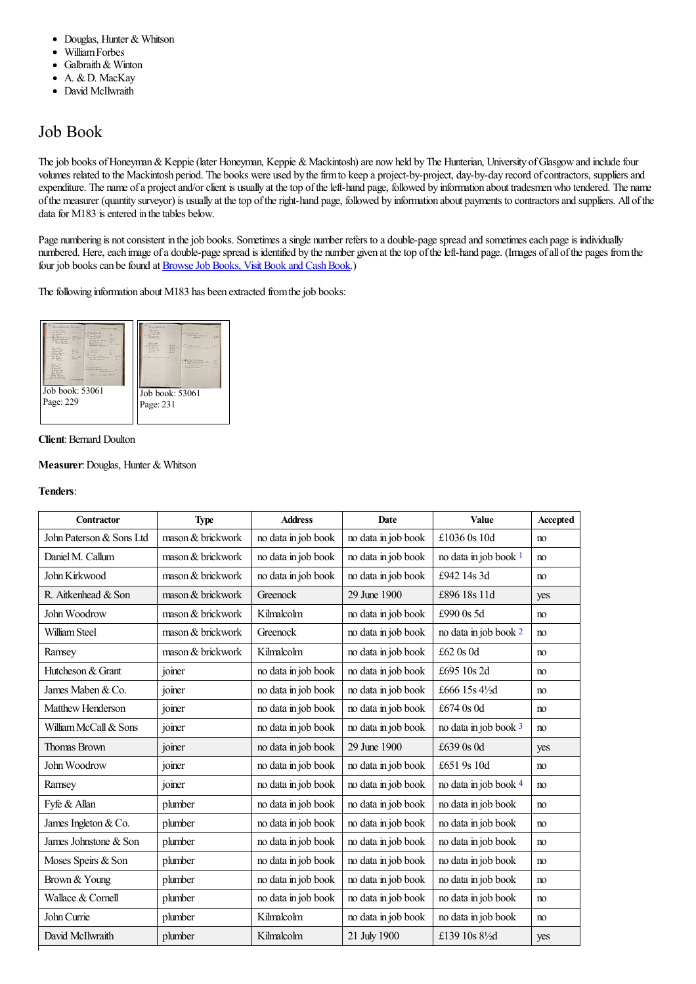- $\bullet$ Douglas, Hunter & Whitson
- WilliamForbes  $\bullet$
- Galbraith& Winton  $\bullet$
- A. & D. MacKay  $\bullet$
- David McIlwraith

### Job Book

The job books of Honeyman & Keppie (later Honeyman, Keppie & Mackintosh) are now held by The Hunterian, University of Glasgow and include four volumes related to the Mackintosh period. The books were used by the firm to keep a project-by-project, day-by-day record of contractors, suppliers and expenditure. The name of a project and/or client is usually at the top of the left-hand page, followed by information about tradesmen who tendered. The name ofthe measurer (quantity surveyor) is usually at thetop oftheright-hand page, followed by information about payments to contractorsand suppliers. All ofthe data for  $M183$  is entered in the tables below.

Page numbering is not consistent in the job books. Sometimes a single number refers to a double-page spread and sometimes each page is individually numbered. Here, each image of a double-page spread is identified by the number given at the top of the left-hand page. (Images of all of the pages from the four job books can be found at **Browse Job Books**, Visit Book and Cash Book.)

The following information about  $M183$  has been extracted from the job books:



#### **Client: Bernard Doulton**

#### **Measurer: Douglas, Hunter & Whitson**

#### **Tenders**:

<span id="page-2-3"></span><span id="page-2-2"></span><span id="page-2-1"></span><span id="page-2-0"></span>

| Contractor               | <b>Type</b>       | <b>Address</b>      | Date                | Value                       | Accepted       |
|--------------------------|-------------------|---------------------|---------------------|-----------------------------|----------------|
| John Paterson & Sons Ltd | mason & brickwork | no data in job book | no data in job book | £1036 0s 10d                | no             |
| Daniel M. Callum         | mason & brickwork | no data in job book | no data in job book | no data in job book 1       | no             |
| John Kirkwood            | mason & brickwork | no data in job book | no data in job book | £942 14s 3d                 | no             |
| R. Aitkenhead & Son      | mason & brickwork | Greenock            | 29 June 1900        | £896 18s 11d                | yes            |
| John Woodrow             | mason & brickwork | Kilmalcolm          | no data in job book | £990 0s 5d                  | no             |
| William Steel            | mason & brickwork | Greenock            | no data in job book | no data in job book 2       | no             |
| Ramsey                   | mason & brickwork | Kilmalcolm          | no data in job book | £62 0s 0d                   | no             |
| Hutcheson & Grant        | joiner            | no data in job book | no data in job book | £695 10s 2d                 | no             |
| James Maben & Co.        | joiner            | no data in job book | no data in job book | £666 15s 41/2d              | no             |
| Matthew Henderson        | joiner            | no data in job book | no data in job book | £674 0s 0d                  | no             |
| William McCall & Sons    | joiner            | no data in job book | no data in job book | no data in job book 3       | no             |
| Thomas Brown             | joiner            | no data in job book | 29 June 1900        | £639 0s 0d                  | yes            |
| John Woodrow             | joiner            | no data in job book | no data in job book | £651 9s 10d                 | no             |
| Ramsey                   | joiner            | no data in job book | no data in job book | no data in job book 4       | n <sub>o</sub> |
| Fyfe & Allan             | plumber           | no data in job book | no data in job book | no data in job book         | no             |
| James Ingleton & Co.     | plumber           | no data in job book | no data in job book | no data in job book         | no             |
| James Johnstone & Son    | plumber           | no data in job book | no data in job book | no data in job book         | no             |
| Moses Speirs & Son       | plumber           | no data in job book | no data in job book | no data in job book         | no             |
| Brown & Young            | plumber           | no data in job book | no data in job book | no data in job book         | no             |
| Wallace & Cornell        | plumber           | no data in job book | no data in job book | no data in job book         | no             |
| John Currie              | plumber           | Kilmalcolm          | no data in job book | no data in job book         | no             |
| David McIlwraith         | plumber           | Kilmalcolm          | 21 July 1900        | £139 10s 81/ <sub>2</sub> d | yes            |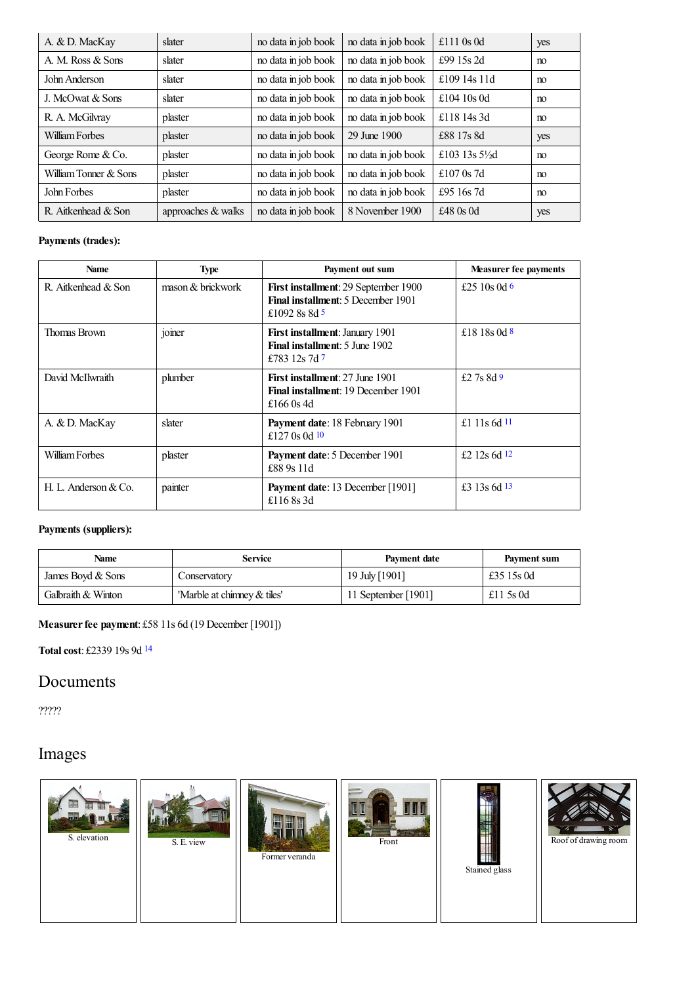| A. & D. MacKay        | slater             | no data in job book | no data in job book | £111 $0s$ 0d              | yes |
|-----------------------|--------------------|---------------------|---------------------|---------------------------|-----|
| A. M. Ross & Sons     | slater             | no data in job book | no data in job book | £99 15s 2d                | no  |
| John Anderson         | slater             | no data in job book | no data in job book | £109 14s 11d              | no  |
| J. McOwat & Sons      | slater             | no data in job book | no data in job book | £104 10s 0d               | no  |
| R. A. McGilvray       | plaster            | no data in job book | no data in job book | £118 14s 3d               | no  |
| William Forbes        | plaster            | no data in job book | 29 June 1900        | £88 17s 8d                | yes |
| George Rome & Co.     | plaster            | no data in job book | no data in job book | £103 13s $5\frac{1}{2}$ d | no  |
| William Tonner & Sons | plaster            | no data in job book | no data in job book | £107 $0s$ 7d              | no  |
| John Forbes           | plaster            | no data in job book | no data in job book | £95 16s 7d                | no  |
| R. Aitkenhead & Son   | approaches & walks | no data in job book | 8 November 1900     | £48 $0s$ 0d               | yes |

### **Payments (trades):**

<span id="page-3-4"></span><span id="page-3-3"></span><span id="page-3-2"></span><span id="page-3-1"></span><span id="page-3-0"></span>

| <b>Name</b>          | <b>Type</b>       | Payment out sum                                                                                  | <b>Measurer fee payments</b> |
|----------------------|-------------------|--------------------------------------------------------------------------------------------------|------------------------------|
| R. Aitkenhead & Son  | mason & brickwork | First installment: 29 September 1900<br>Final installment: 5 December 1901<br>£1092 8s 8d 5      | £25 10s 0d $6$               |
| Thomas Brown         | joiner            | <b>First installment: January 1901</b><br><b>Final installment:</b> 5 June 1902<br>£783 12s 7d 7 | £18 18 s 0 d $\frac{8}{3}$   |
| David McIlwraith     | plumber           | First installment: 27 June 1901<br><b>Final installment: 19 December 1901</b><br>£166 0s 4d      | £2.7s $8d9$                  |
| A. & D. MacKay       | slater            | Payment date: 18 February 1901<br>£127 $0s$ 0d 10                                                | £1 11s 6d $11$               |
| William Forbes       | plaster           | Payment date: 5 December 1901<br>£88.9s 11d                                                      | £2 12s 6d $12$               |
| H. L. Anderson & Co. | painter           | <b>Payment date:</b> 13 December [1901]<br>£116 $8s$ 3d                                          | £3 13s 6d 13                 |

### <span id="page-3-8"></span><span id="page-3-7"></span><span id="page-3-6"></span><span id="page-3-5"></span>**Payments (suppliers):**

| <b>Name</b>        | <b>Service</b>              | <b>Payment date</b> | Payment sum |
|--------------------|-----------------------------|---------------------|-------------|
| James Boyd & Sons  | Conservatory                | 19 July [1901]      | £35 15s 0d  |
| Galbraith & Winton | 'Marble at chimney & tiles' | 11 September [1901] | £11 5s 0d   |

### **Measurerfee payment**: £58 11s 6d (19 December [1901])

<span id="page-3-9"></span>**Totalcost**: £2339 19s 9d [14](#page-5-3)

### Documents

?????

# Images

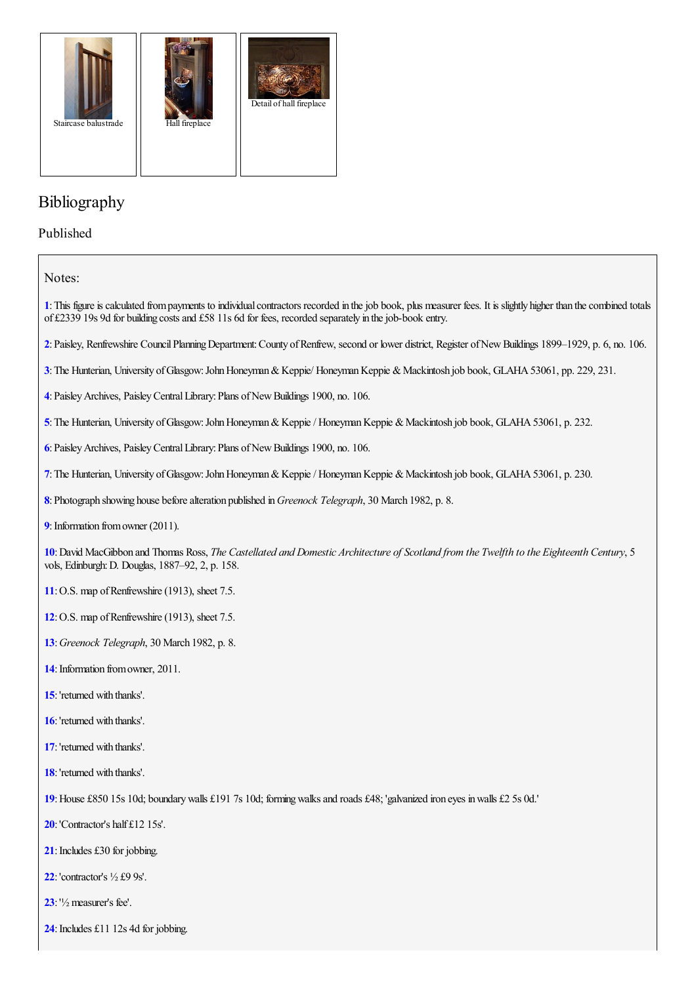

## Bibliography

Published

Notes:

<span id="page-4-0"></span>: This figure is calculated from payments to individual contractors recorded in the job book, plus measurer fees. It is slightly higher than the combined totals of £2339 19s 9d for building costs and £58 11s 6d for fees, recorded separately in the job-book entry.

<span id="page-4-1"></span>:Paisley, Renfrewshire CouncilPlanningDepartment:County ofRenfrew, second or lower district, Register ofNewBuildings 1899–1929, p. 6, no. 106.

<span id="page-4-2"></span>: The Hunterian, University of Glasgow: John Honeyman & Keppie/ Honeyman Keppie & Mackintosh job book, GLAHA 53061, pp. 229, 231.

<span id="page-4-3"></span>:PaisleyArchives, PaisleyCentralLibrary:Plans ofNewBuildings 1900, no. 106.

<span id="page-4-4"></span>: The Hunterian, University of Glasgow: John Honeyman & Keppie / Honeyman Keppie & Mackintosh job book, GLAHA 53061, p. 232.

<span id="page-4-5"></span>:PaisleyArchives, PaisleyCentralLibrary:Plans ofNewBuildings 1900, no. 106.

<span id="page-4-6"></span>:The Hunterian, University ofGlasgow:JohnHoneyman&Keppie/ HoneymanKeppie &Mackintosh job book, GLAHA53061, p. 230.

<span id="page-4-7"></span>: Photograph showing house before alteration published in *Greenock Telegraph*, 30 March 1982, p. 8.

<span id="page-4-8"></span>: Information from owner (2011).

<span id="page-4-9"></span>: David MacGibbon and Thomas Ross, The Castellated and Domestic Architecture of Scotland from the Twelfth to the Eighteenth Century, 5 vols, Edinburgh:D. Douglas, 1887–92, 2, p. 158.

- <span id="page-4-10"></span>: O.S. map of Renfrewshire (1913), sheet 7.5.
- <span id="page-4-11"></span>: O.S. map of Renfrewshire (1913), sheet 7.5.
- <span id="page-4-12"></span>:*Greenock Telegraph*, 30 March 1982, p. 8.
- <span id="page-4-13"></span>: Information from owner, 2011.
- <span id="page-4-14"></span>:'returned with thanks'.
- <span id="page-4-15"></span>:'returned with thanks'.
- <span id="page-4-16"></span>:'returned with thanks'.
- <span id="page-4-17"></span>:'returned with thanks'.

<span id="page-4-18"></span>:House £850 15s 10d; boundarywalls £191 7s 10d; formingwalksand roads £48; 'galvanized iron eyes inwalls £2 5s 0d.'

- <span id="page-4-19"></span>:'Contractor's half £12 15s'.
- <span id="page-4-20"></span>: Includes £30 for jobbing.
- <span id="page-4-21"></span>:'contractor's ½ £9 9s'.
- <span id="page-4-22"></span>:'½measurer's fee'.
- <span id="page-4-23"></span>: Includes £11 12s 4d for jobbing.